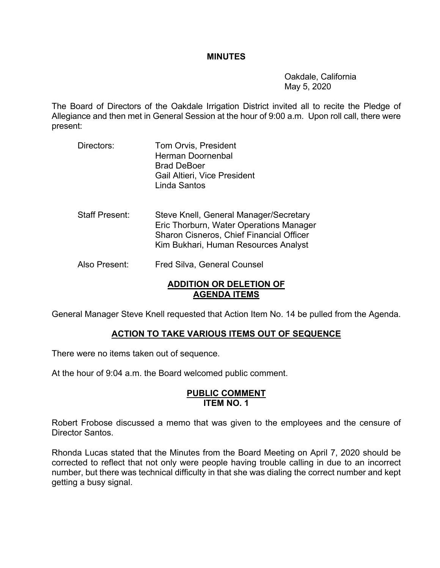#### **MINUTES**

 Oakdale, California May 5, 2020

The Board of Directors of the Oakdale Irrigation District invited all to recite the Pledge of Allegiance and then met in General Session at the hour of 9:00 a.m. Upon roll call, there were present:

- Directors: Tom Orvis, President Herman Doornenbal Brad DeBoer Gail Altieri, Vice President Linda Santos
- Staff Present: Steve Knell, General Manager/Secretary Eric Thorburn, Water Operations Manager Sharon Cisneros, Chief Financial Officer Kim Bukhari, Human Resources Analyst
- Also Present: Fred Silva, General Counsel

## **ADDITION OR DELETION OF AGENDA ITEMS**

General Manager Steve Knell requested that Action Item No. 14 be pulled from the Agenda.

## **ACTION TO TAKE VARIOUS ITEMS OUT OF SEQUENCE**

There were no items taken out of sequence.

At the hour of 9:04 a.m. the Board welcomed public comment.

#### **PUBLIC COMMENT ITEM NO. 1**

Robert Frobose discussed a memo that was given to the employees and the censure of Director Santos.

Rhonda Lucas stated that the Minutes from the Board Meeting on April 7, 2020 should be corrected to reflect that not only were people having trouble calling in due to an incorrect number, but there was technical difficulty in that she was dialing the correct number and kept getting a busy signal.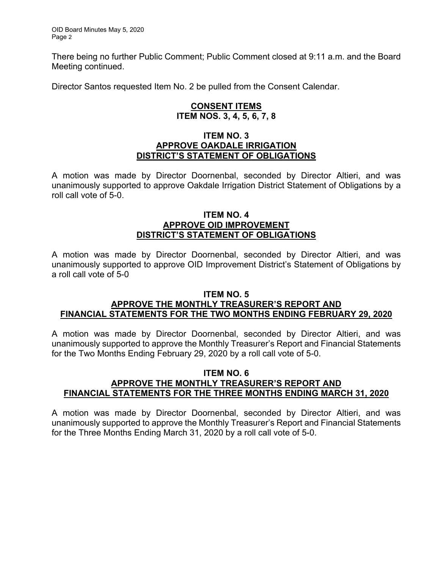There being no further Public Comment; Public Comment closed at 9:11 a.m. and the Board Meeting continued.

Director Santos requested Item No. 2 be pulled from the Consent Calendar.

## **CONSENT ITEMS ITEM NOS. 3, 4, 5, 6, 7, 8**

## **ITEM NO. 3 APPROVE OAKDALE IRRIGATION DISTRICT'S STATEMENT OF OBLIGATIONS**

A motion was made by Director Doornenbal, seconded by Director Altieri, and was unanimously supported to approve Oakdale Irrigation District Statement of Obligations by a roll call vote of 5-0.

## **ITEM NO. 4 APPROVE OID IMPROVEMENT DISTRICT'S STATEMENT OF OBLIGATIONS**

A motion was made by Director Doornenbal, seconded by Director Altieri, and was unanimously supported to approve OID Improvement District's Statement of Obligations by a roll call vote of 5-0

## **ITEM NO. 5**

## **APPROVE THE MONTHLY TREASURER'S REPORT AND FINANCIAL STATEMENTS FOR THE TWO MONTHS ENDING FEBRUARY 29, 2020**

A motion was made by Director Doornenbal, seconded by Director Altieri, and was unanimously supported to approve the Monthly Treasurer's Report and Financial Statements for the Two Months Ending February 29, 2020 by a roll call vote of 5-0.

## **ITEM NO. 6 APPROVE THE MONTHLY TREASURER'S REPORT AND FINANCIAL STATEMENTS FOR THE THREE MONTHS ENDING MARCH 31, 2020**

A motion was made by Director Doornenbal, seconded by Director Altieri, and was unanimously supported to approve the Monthly Treasurer's Report and Financial Statements for the Three Months Ending March 31, 2020 by a roll call vote of 5-0.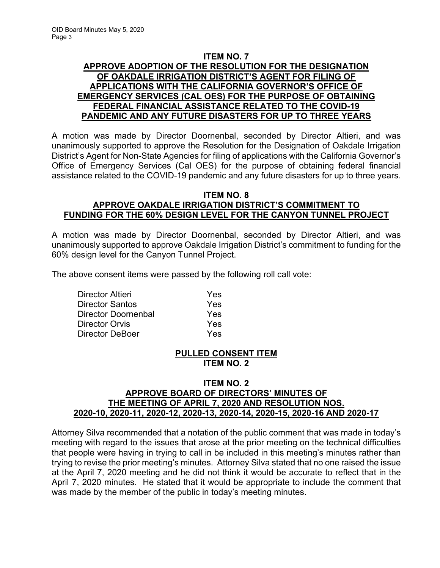## **ITEM NO. 7 APPROVE ADOPTION OF THE RESOLUTION FOR THE DESIGNATION OF OAKDALE IRRIGATION DISTRICT'S AGENT FOR FILING OF APPLICATIONS WITH THE CALIFORNIA GOVERNOR'S OFFICE OF EMERGENCY SERVICES (CAL OES) FOR THE PURPOSE OF OBTAINING FEDERAL FINANCIAL ASSISTANCE RELATED TO THE COVID-19 PANDEMIC AND ANY FUTURE DISASTERS FOR UP TO THREE YEARS**

A motion was made by Director Doornenbal, seconded by Director Altieri, and was unanimously supported to approve the Resolution for the Designation of Oakdale Irrigation District's Agent for Non-State Agencies for filing of applications with the California Governor's Office of Emergency Services (Cal OES) for the purpose of obtaining federal financial assistance related to the COVID-19 pandemic and any future disasters for up to three years.

## **ITEM NO. 8 APPROVE OAKDALE IRRIGATION DISTRICT'S COMMITMENT TO FUNDING FOR THE 60% DESIGN LEVEL FOR THE CANYON TUNNEL PROJECT**

A motion was made by Director Doornenbal, seconded by Director Altieri, and was unanimously supported to approve Oakdale Irrigation District's commitment to funding for the 60% design level for the Canyon Tunnel Project.

The above consent items were passed by the following roll call vote:

| Director Altieri       | Yes |
|------------------------|-----|
| <b>Director Santos</b> | Yes |
| Director Doornenbal    | Yes |
| <b>Director Orvis</b>  | Yes |
| Director DeBoer        | Yes |

# **PULLED CONSENT ITEM ITEM NO. 2**

## **ITEM NO. 2 APPROVE BOARD OF DIRECTORS' MINUTES OF THE MEETING OF APRIL 7, 2020 AND RESOLUTION NOS. 2020-10, 2020-11, 2020-12, 2020-13, 2020-14, 2020-15, 2020-16 AND 2020-17**

Attorney Silva recommended that a notation of the public comment that was made in today's meeting with regard to the issues that arose at the prior meeting on the technical difficulties that people were having in trying to call in be included in this meeting's minutes rather than trying to revise the prior meeting's minutes. Attorney Silva stated that no one raised the issue at the April 7, 2020 meeting and he did not think it would be accurate to reflect that in the April 7, 2020 minutes. He stated that it would be appropriate to include the comment that was made by the member of the public in today's meeting minutes.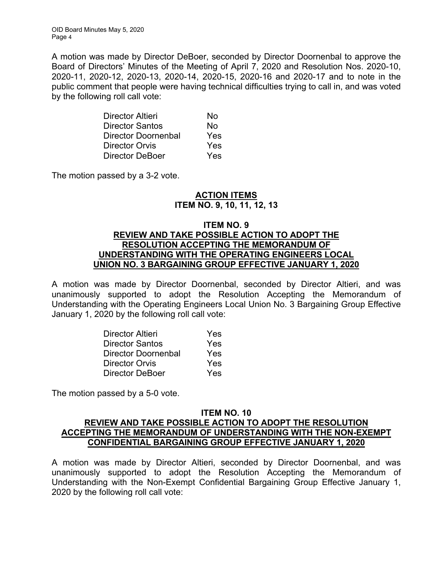OID Board Minutes May 5, 2020 Page 4

A motion was made by Director DeBoer, seconded by Director Doornenbal to approve the Board of Directors' Minutes of the Meeting of April 7, 2020 and Resolution Nos. 2020-10, 2020-11, 2020-12, 2020-13, 2020-14, 2020-15, 2020-16 and 2020-17 and to note in the public comment that people were having technical difficulties trying to call in, and was voted by the following roll call vote:

| Director Altieri    | Nο  |
|---------------------|-----|
| Director Santos     | Nο  |
| Director Doornenbal | Yes |
| Director Orvis      | Yes |
| Director DeBoer     | Yes |

The motion passed by a 3-2 vote.

## **ACTION ITEMS ITEM NO. 9, 10, 11, 12, 13**

### **ITEM NO. 9 REVIEW AND TAKE POSSIBLE ACTION TO ADOPT THE RESOLUTION ACCEPTING THE MEMORANDUM OF UNDERSTANDING WITH THE OPERATING ENGINEERS LOCAL UNION NO. 3 BARGAINING GROUP EFFECTIVE JANUARY 1, 2020**

A motion was made by Director Doornenbal, seconded by Director Altieri, and was unanimously supported to adopt the Resolution Accepting the Memorandum of Understanding with the Operating Engineers Local Union No. 3 Bargaining Group Effective January 1, 2020 by the following roll call vote:

| Director Altieri    | Yes |
|---------------------|-----|
| Director Santos     | Yes |
| Director Doornenbal | Yes |
| Director Orvis      | Yes |
| Director DeBoer     | Yes |

The motion passed by a 5-0 vote.

## **ITEM NO. 10 REVIEW AND TAKE POSSIBLE ACTION TO ADOPT THE RESOLUTION ACCEPTING THE MEMORANDUM OF UNDERSTANDING WITH THE NON-EXEMPT CONFIDENTIAL BARGAINING GROUP EFFECTIVE JANUARY 1, 2020**

A motion was made by Director Altieri, seconded by Director Doornenbal, and was unanimously supported to adopt the Resolution Accepting the Memorandum of Understanding with the Non-Exempt Confidential Bargaining Group Effective January 1, 2020 by the following roll call vote: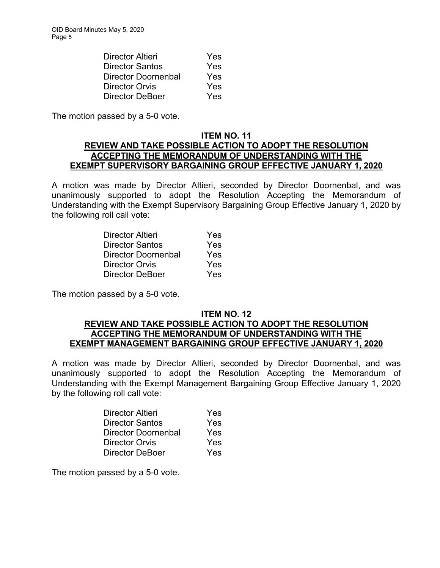| <b>Director Altieri</b> | Yes |
|-------------------------|-----|
| Director Santos         | Yes |
| Director Doornenbal     | Yes |
| <b>Director Orvis</b>   | Yes |
| Director DeBoer         | Yes |

The motion passed by a 5-0 vote.

## **ITEM NO. 11 REVIEW AND TAKE POSSIBLE ACTION TO ADOPT THE RESOLUTION ACCEPTING THE MEMORANDUM OF UNDERSTANDING WITH THE EXEMPT SUPERVISORY BARGAINING GROUP EFFECTIVE JANUARY 1, 2020**

A motion was made by Director Altieri, seconded by Director Doornenbal, and was unanimously supported to adopt the Resolution Accepting the Memorandum of Understanding with the Exempt Supervisory Bargaining Group Effective January 1, 2020 by the following roll call vote:

| Director Altieri    | Yes |
|---------------------|-----|
| Director Santos     | Yes |
| Director Doornenbal | Yes |
| Director Orvis      | Yes |
| Director DeBoer     | Yes |

The motion passed by a 5-0 vote.

#### **ITEM NO. 12**

## **REVIEW AND TAKE POSSIBLE ACTION TO ADOPT THE RESOLUTION ACCEPTING THE MEMORANDUM OF UNDERSTANDING WITH THE EXEMPT MANAGEMENT BARGAINING GROUP EFFECTIVE JANUARY 1, 2020**

A motion was made by Director Altieri, seconded by Director Doornenbal, and was unanimously supported to adopt the Resolution Accepting the Memorandum of Understanding with the Exempt Management Bargaining Group Effective January 1, 2020 by the following roll call vote:

| <b>Director Altieri</b> | Yes |
|-------------------------|-----|
| Director Santos         | Yes |
| Director Doornenbal     | Yes |
| Director Orvis          | Yes |
| Director DeBoer         | Yes |

The motion passed by a 5-0 vote.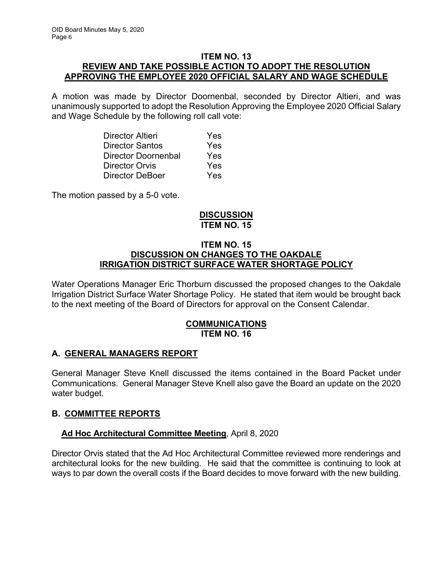## **ITEM NO. 13 REVIEW AND TAKE POSSIBLE ACTION TO ADOPT THE RESOLUTION APPROVING THE EMPLOYEE 2020 OFFICIAL SALARY AND WAGE SCHEDULE**

A motion was made by Director Doornenbal, seconded by Director Altieri, and was unanimously supported to adopt the Resolution Approving the Employee 2020 Official Salary and Wage Schedule by the following roll call vote:

| Director Altieri           | Yes |
|----------------------------|-----|
| <b>Director Santos</b>     | Yes |
| <b>Director Doornenbal</b> | Yes |
| Director Orvis             | Yes |
| Director DeBoer            | Yes |

The motion passed by a 5-0 vote.

# **DISCUSSION ITEM NO. 15**

## **ITEM NO. 15 DISCUSSION ON CHANGES TO THE OAKDALE IRRIGATION DISTRICT SURFACE WATER SHORTAGE POLICY**

Water Operations Manager Eric Thorburn discussed the proposed changes to the Oakdale Irrigation District Surface Water Shortage Policy. He stated that item would be brought back to the next meeting of the Board of Directors for approval on the Consent Calendar.

## **COMMUNICATIONS ITEM NO. 16**

# **A. GENERAL MANAGERS REPORT**

General Manager Steve Knell discussed the items contained in the Board Packet under Communications. General Manager Steve Knell also gave the Board an update on the 2020 water budget.

# **B. COMMITTEE REPORTS**

# **Ad Hoc Architectural Committee Meeting**, April 8, 2020

Director Orvis stated that the Ad Hoc Architectural Committee reviewed more renderings and architectural looks for the new building. He said that the committee is continuing to look at ways to par down the overall costs if the Board decides to move forward with the new building.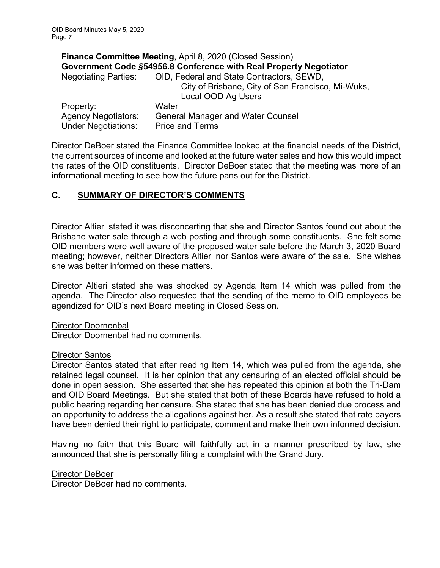|                             | Finance Committee Meeting, April 8, 2020 (Closed Session)         |
|-----------------------------|-------------------------------------------------------------------|
|                             | Government Code §54956.8 Conference with Real Property Negotiator |
| <b>Negotiating Parties:</b> | OID, Federal and State Contractors, SEWD,                         |
|                             | City of Brisbane, City of San Francisco, Mi-Wuks,                 |
|                             | Local OOD Ag Users                                                |
| Property:                   | Water                                                             |
| <b>Agency Negotiators:</b>  | <b>General Manager and Water Counsel</b>                          |
| <b>Under Negotiations:</b>  | <b>Price and Terms</b>                                            |

Director DeBoer stated the Finance Committee looked at the financial needs of the District, the current sources of income and looked at the future water sales and how this would impact the rates of the OID constituents. Director DeBoer stated that the meeting was more of an informational meeting to see how the future pans out for the District.

## **C. SUMMARY OF DIRECTOR'S COMMENTS**

Director Altieri stated it was disconcerting that she and Director Santos found out about the Brisbane water sale through a web posting and through some constituents. She felt some OID members were well aware of the proposed water sale before the March 3, 2020 Board meeting; however, neither Directors Altieri nor Santos were aware of the sale. She wishes she was better informed on these matters.

Director Altieri stated she was shocked by Agenda Item 14 which was pulled from the agenda. The Director also requested that the sending of the memo to OID employees be agendized for OID's next Board meeting in Closed Session.

Director Doornenbal

Director Doornenbal had no comments.

#### Director Santos

Director Santos stated that after reading Item 14, which was pulled from the agenda, she retained legal counsel. It is her opinion that any censuring of an elected official should be done in open session. She asserted that she has repeated this opinion at both the Tri-Dam and OID Board Meetings. But she stated that both of these Boards have refused to hold a public hearing regarding her censure. She stated that she has been denied due process and an opportunity to address the allegations against her. As a result she stated that rate payers have been denied their right to participate, comment and make their own informed decision.

Having no faith that this Board will faithfully act in a manner prescribed by law, she announced that she is personally filing a complaint with the Grand Jury.

Director DeBoer

Director DeBoer had no comments.